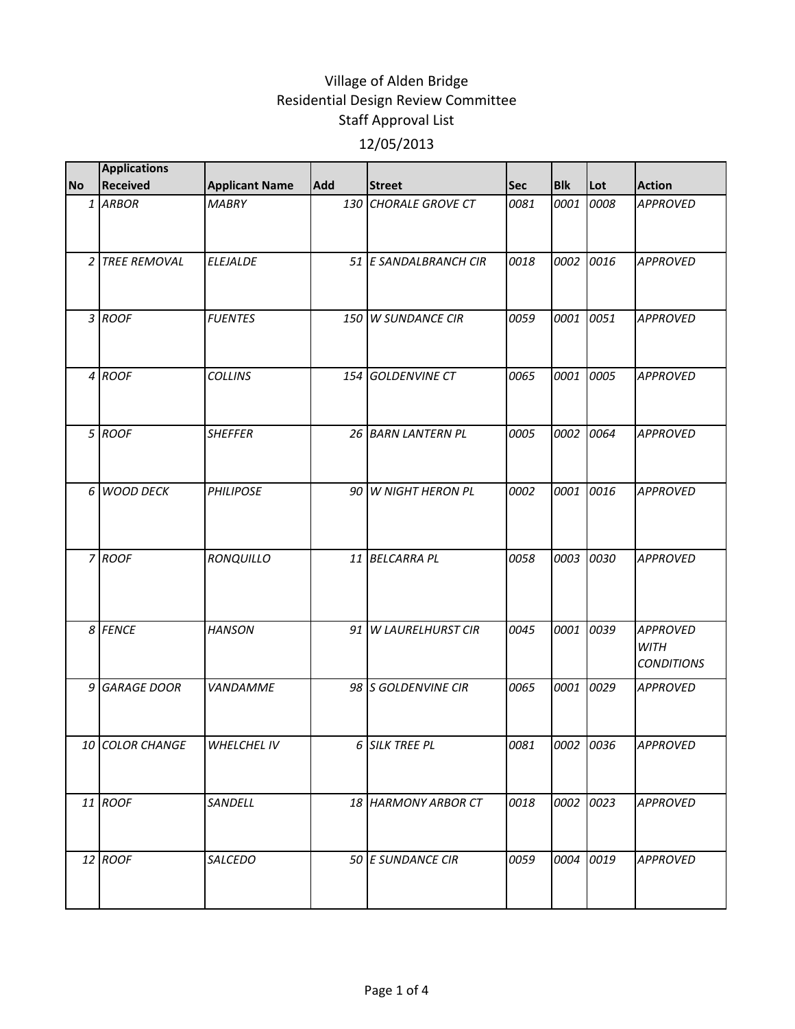| <b>No</b> | <b>Applications</b><br><b>Received</b> | <b>Applicant Name</b> | Add | <b>Street</b>           | <b>Sec</b> | <b>Blk</b> | Lot  | <b>Action</b>                                       |
|-----------|----------------------------------------|-----------------------|-----|-------------------------|------------|------------|------|-----------------------------------------------------|
|           | 1 ARBOR                                | <b>MABRY</b>          | 130 | <b>CHORALE GROVE CT</b> | 0081       | 0001       | 0008 | <b>APPROVED</b>                                     |
|           | 2 TREE REMOVAL                         | <b>ELEJALDE</b>       |     | 51 E SANDALBRANCH CIR   | 0018       | 0002       | 0016 | <b>APPROVED</b>                                     |
|           | 3 ROOF                                 | <b>FUENTES</b>        |     | 150 W SUNDANCE CIR      | 0059       | 0001       | 0051 | <b>APPROVED</b>                                     |
|           | 4 ROOF                                 | <b>COLLINS</b>        | 154 | <b>GOLDENVINE CT</b>    | 0065       | 0001       | 0005 | <b>APPROVED</b>                                     |
|           | 5 ROOF                                 | <b>SHEFFER</b>        |     | 26 BARN LANTERN PL      | 0005       | 0002       | 0064 | <b>APPROVED</b>                                     |
|           | 6 WOOD DECK                            | <b>PHILIPOSE</b>      |     | 90 W NIGHT HERON PL     | 0002       | 0001       | 0016 | <b>APPROVED</b>                                     |
|           | 7 ROOF                                 | RONQUILLO             | 11  | <b>BELCARRA PL</b>      | 0058       | 0003 0030  |      | <b>APPROVED</b>                                     |
|           | 8 FENCE                                | <b>HANSON</b>         |     | 91 W LAURELHURST CIR    | 0045       | 0001       | 0039 | <b>APPROVED</b><br><b>WITH</b><br><b>CONDITIONS</b> |
|           | 9 GARAGE DOOR                          | VANDAMME              |     | 98 S GOLDENVINE CIR     | 0065       | 0001       | 0029 | <b>APPROVED</b>                                     |
|           | 10 COLOR CHANGE                        | WHELCHEL IV           |     | 6 SILK TREE PL          | 0081       | 0002 0036  |      | <b>APPROVED</b>                                     |
|           | 11 ROOF                                | SANDELL               |     | 18 HARMONY ARBOR CT     | 0018       | 0002 0023  |      | <b>APPROVED</b>                                     |
|           | 12 ROOF                                | SALCEDO               |     | 50 E SUNDANCE CIR       | 0059       | 0004       | 0019 | <b>APPROVED</b>                                     |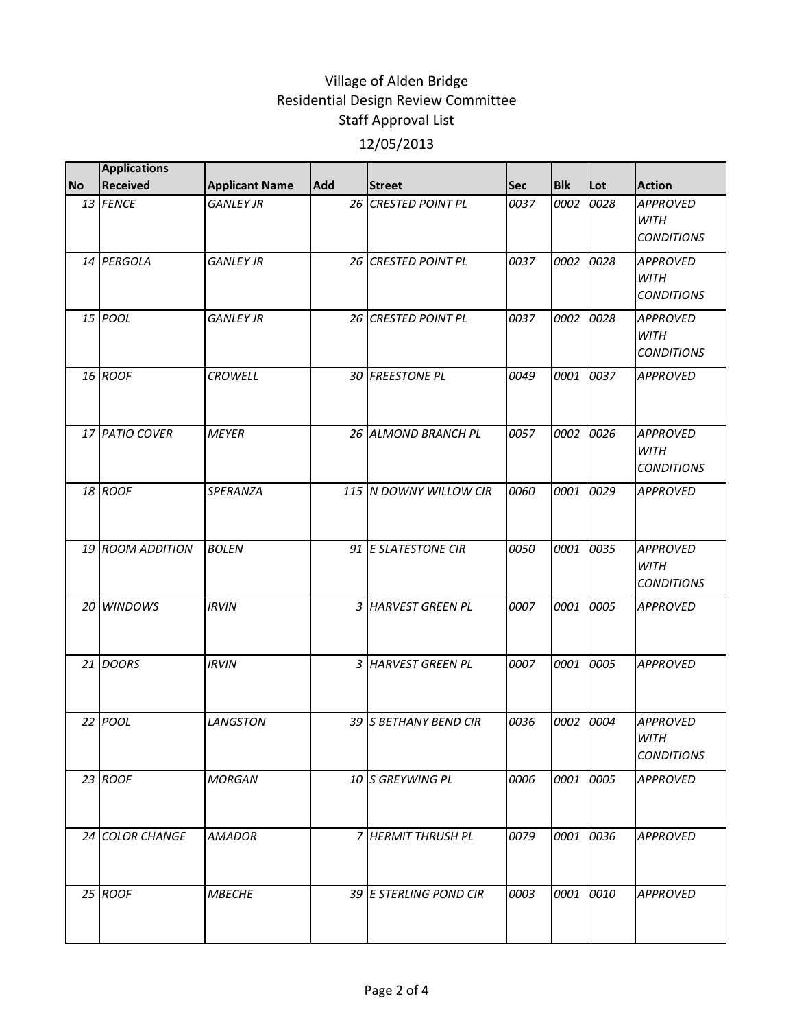|           | <b>Applications</b> |                       |            |                        |            |            |      |                                                     |
|-----------|---------------------|-----------------------|------------|------------------------|------------|------------|------|-----------------------------------------------------|
| <b>No</b> | Received            | <b>Applicant Name</b> | <b>Add</b> | <b>Street</b>          | <b>Sec</b> | <b>Blk</b> | Lot  | <b>Action</b>                                       |
|           | 13 FENCE            | <b>GANLEY JR</b>      |            | 26 CRESTED POINT PL    | 0037       | 0002       | 0028 | <b>APPROVED</b><br><b>WITH</b><br><b>CONDITIONS</b> |
|           | 14 PERGOLA          | <b>GANLEY JR</b>      |            | 26 CRESTED POINT PL    | 0037       | 0002       | 0028 | <b>APPROVED</b><br><b>WITH</b><br><b>CONDITIONS</b> |
|           | 15 POOL             | <b>GANLEY JR</b>      |            | 26 CRESTED POINT PL    | 0037       | 0002       | 0028 | <b>APPROVED</b><br><b>WITH</b><br><b>CONDITIONS</b> |
|           | 16 ROOF             | <b>CROWELL</b>        |            | 30 FREESTONE PL        | 0049       | 0001       | 0037 | <b>APPROVED</b>                                     |
|           | 17 PATIO COVER      | <b>MEYER</b>          |            | 26 ALMOND BRANCH PL    | 0057       | 0002       | 0026 | <b>APPROVED</b><br><b>WITH</b><br><b>CONDITIONS</b> |
|           | 18 ROOF             | <b>SPERANZA</b>       |            | 115 N DOWNY WILLOW CIR | 0060       | 0001       | 0029 | <b>APPROVED</b>                                     |
|           | 19 ROOM ADDITION    | <b>BOLEN</b>          |            | 91 E SLATESTONE CIR    | 0050       | 0001       | 0035 | <b>APPROVED</b><br><b>WITH</b><br><b>CONDITIONS</b> |
|           | 20 WINDOWS          | <b>IRVIN</b>          |            | 3 HARVEST GREEN PL     | 0007       | 0001       | 0005 | <b>APPROVED</b>                                     |
|           | 21 DOORS            | <b>IRVIN</b>          |            | 3 HARVEST GREEN PL     | 0007       | 0001       | 0005 | <b>APPROVED</b>                                     |
|           | $22$ POOL           | <b>LANGSTON</b>       |            | 39 S BETHANY BEND CIR  | 0036       | 0002       | 0004 | <b>APPROVED</b><br><b>WITH</b><br><b>CONDITIONS</b> |
|           | $23$ ROOF           | <b>MORGAN</b>         |            | 10 S GREYWING PL       | 0006       | 0001       | 0005 | <b>APPROVED</b>                                     |
|           | 24 COLOR CHANGE     | <b>AMADOR</b>         |            | 7 HERMIT THRUSH PL     | 0079       | 0001       | 0036 | <b>APPROVED</b>                                     |
|           | 25 ROOF             | <b>MBECHE</b>         |            | 39 E STERLING POND CIR | 0003       | 0001 0010  |      | <b>APPROVED</b>                                     |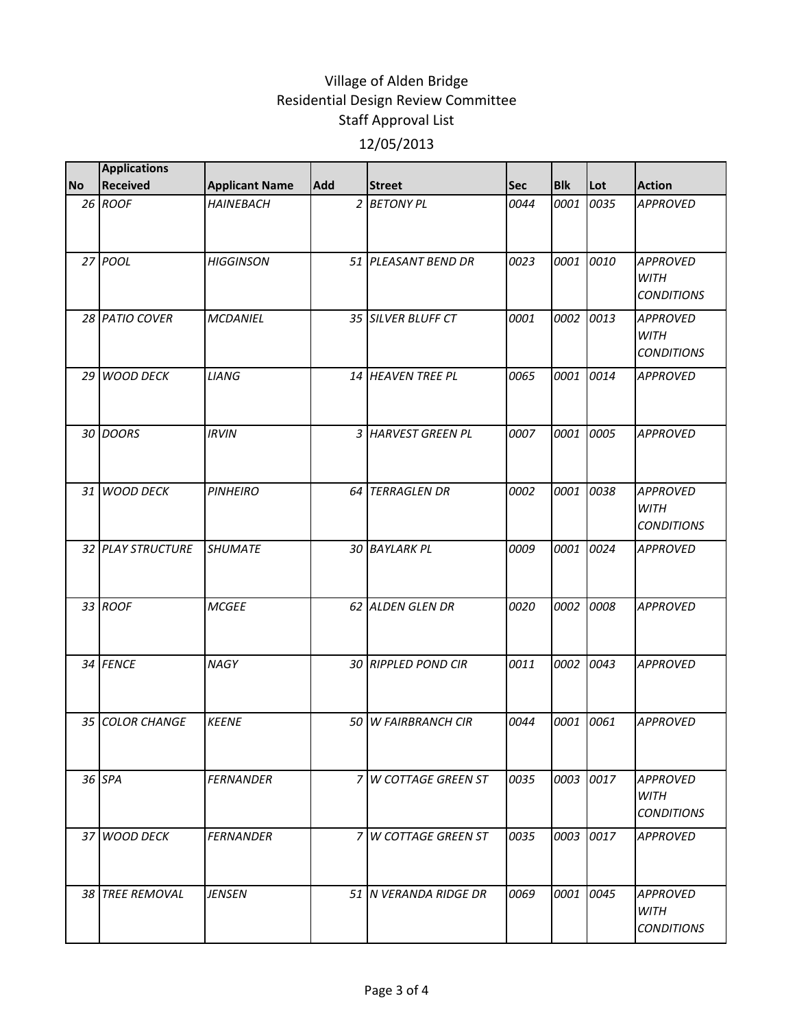|           | <b>Applications</b> |                       |     |                         |            |            |      |                                                     |
|-----------|---------------------|-----------------------|-----|-------------------------|------------|------------|------|-----------------------------------------------------|
| <b>No</b> | <b>Received</b>     | <b>Applicant Name</b> | Add | <b>Street</b>           | <b>Sec</b> | <b>Blk</b> | Lot  | <b>Action</b>                                       |
|           | 26 ROOF             | <b>HAINEBACH</b>      |     | 2 BETONY PL             | 0044       | 0001       | 0035 | <b>APPROVED</b>                                     |
|           | 27 POOL             | <b>HIGGINSON</b>      |     | 51 PLEASANT BEND DR     | 0023       | 0001       | 0010 | <b>APPROVED</b><br><b>WITH</b><br><b>CONDITIONS</b> |
|           | 28 PATIO COVER      | <b>MCDANIEL</b>       |     | 35 SILVER BLUFF CT      | 0001       | 0002       | 0013 | <b>APPROVED</b><br>WITH<br><b>CONDITIONS</b>        |
|           | 29 WOOD DECK        | LIANG                 |     | 14 HEAVEN TREE PL       | 0065       | 0001       | 0014 | <b>APPROVED</b>                                     |
|           | 30 DOORS            | <b>IRVIN</b>          |     | 3 HARVEST GREEN PL      | 0007       | 0001       | 0005 | <b>APPROVED</b>                                     |
|           | 31 WOOD DECK        | <b>PINHEIRO</b>       |     | <b>64 TERRAGLEN DR</b>  | 0002       | 0001       | 0038 | <b>APPROVED</b><br><b>WITH</b><br><b>CONDITIONS</b> |
|           | 32 PLAY STRUCTURE   | <b>SHUMATE</b>        |     | 30 BAYLARK PL           | 0009       | 0001       | 0024 | <b>APPROVED</b>                                     |
|           | 33 ROOF             | <b>MCGEE</b>          |     | 62 ALDEN GLEN DR        | 0020       | 0002       | 0008 | <b>APPROVED</b>                                     |
|           | 34 FENCE            | <b>NAGY</b>           |     | 30 RIPPLED POND CIR     | 0011       | 0002       | 0043 | <b>APPROVED</b>                                     |
|           | 35 COLOR CHANGE     | <b>KEENE</b>          | 50  | <b>W FAIRBRANCH CIR</b> | 0044       | 0001       | 0061 | <b>APPROVED</b>                                     |
|           | 36 SPA              | <b>FERNANDER</b>      |     | 7 W COTTAGE GREEN ST    | 0035       | 0003       | 0017 | <b>APPROVED</b><br>WITH<br><b>CONDITIONS</b>        |
|           | 37 WOOD DECK        | <b>FERNANDER</b>      |     | 7 W COTTAGE GREEN ST    | 0035       | 0003       | 0017 | <b>APPROVED</b>                                     |
|           | 38 TREE REMOVAL     | <b>JENSEN</b>         |     | 51 N VERANDA RIDGE DR   | 0069       | 0001       | 0045 | <b>APPROVED</b><br><b>WITH</b><br><b>CONDITIONS</b> |